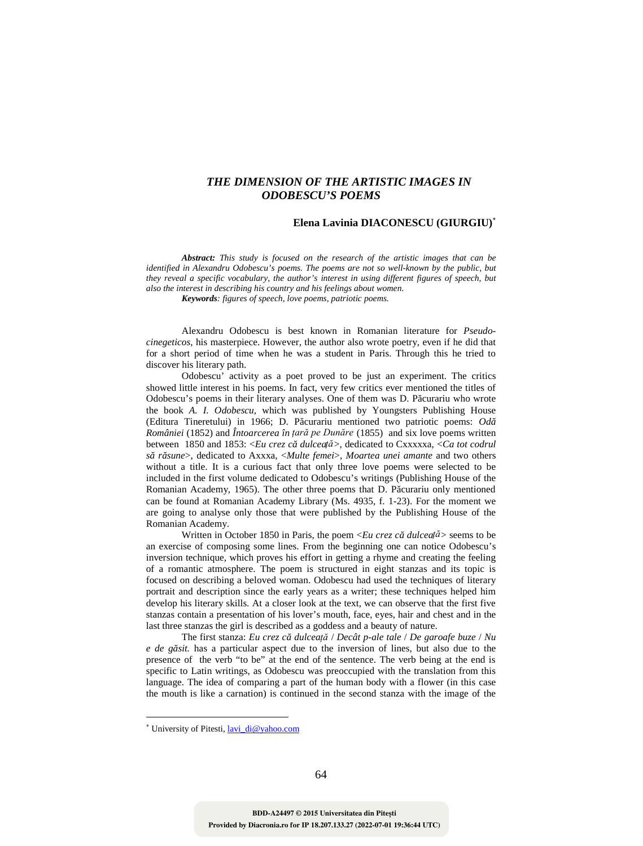## *THE DIMENSION OF THE ARTISTIC IMAGES IN ODOBESCU'S POEMS*

## **Elena Lavinia DIACONESCU (GIURGIU)**

*Abstract: This study is focused on the research of the artistic images that can be identified in Alexandru Odobescu's poems. The poems are not so well-known by the public, but they reveal a specific vocabulary, the author's interest in using different figures of speech, but also the interest in describing his country and his feelings about women.*

*Keywords: figures of speech, love poems, patriotic poems.*

Alexandru Odobescu is best known in Romanian literature for *Pseudo cinegeticos*, his masterpiece. However, the author also wrote poetry, even if he did that for a short period of time when he was a student in Paris. Through this he tried to discover his literary path.

Odobescu' activity as a poet proved to be just an experiment. The critics showed little interest in his poems. In fact, very few critics ever mentioned the titles of Odobescu's poems in their literary analyses. One of them was D. P curariu who wrote the book *A. I. Odobescu,* which was published by Youngsters Publishing House (Editura Tineretului) in 1966; D. P curariu mentioned two patriotic poems:  $Od$ *României* (1852) and *Întoarcerea în țară pe Dunăre* (1855) and six love poems written between 1850 and 1853: <*Eu crez c* dulceață>, dedicated to Cxxxxxa, <*Ca tot codrul să răsune*>, dedicated to Axxxa, <*Multe femei*>, *Moartea unei amante* and two others without a title. It is a curious fact that only three love poems were selected to be included in the first volume dedicated to Odobescu's writings (Publishing House of the Romanian Academy, 1965). The other three poems that D. P curariu only mentioned can be found at Romanian Academy Library (Ms. 4935, f. 1-23). For the moment we are going to analyse only those that were published by the Publishing House of the Romanian Academy.

Written in October 1850 in Paris, the poem  $\langle Eu \, \text{crez} \, c \, \text{dulceat} \, d \rangle$  seems to be an exercise of composing some lines. From the beginning one can notice Odobescu's inversion technique, which proves his effort in getting a rhyme and creating the feeling of a romantic atmosphere. The poem is structured in eight stanzas and its topic is focused on describing a beloved woman. Odobescu had used the techniques of literary portrait and description since the early years as a writer; these techniques helped him develop his literary skills. At a closer look at the text, we can observe that the first five stanzas contain a presentation of his lover's mouth, face, eyes, hair and chest and in the last three stanzas the girl is described as a goddess and a beauty of nature.

The first stanza: *Eu crez că dulceață* / *Decât p-ale tale* / *De garoafe buze* / *Nu e de găsit.* has a particular aspect due to the inversion of lines, but also due to the presence of the verb "to be" at the end of the sentence. The verb being at the end is specific to Latin writings, as Odobescu was preoccupied with the translation from this language. The idea of comparing a part of the human body with a flower (in this case the mouth is like a carnation) is continued in the second stanza with the image of the

University of Pitesti, lavi\_di@yahoo.com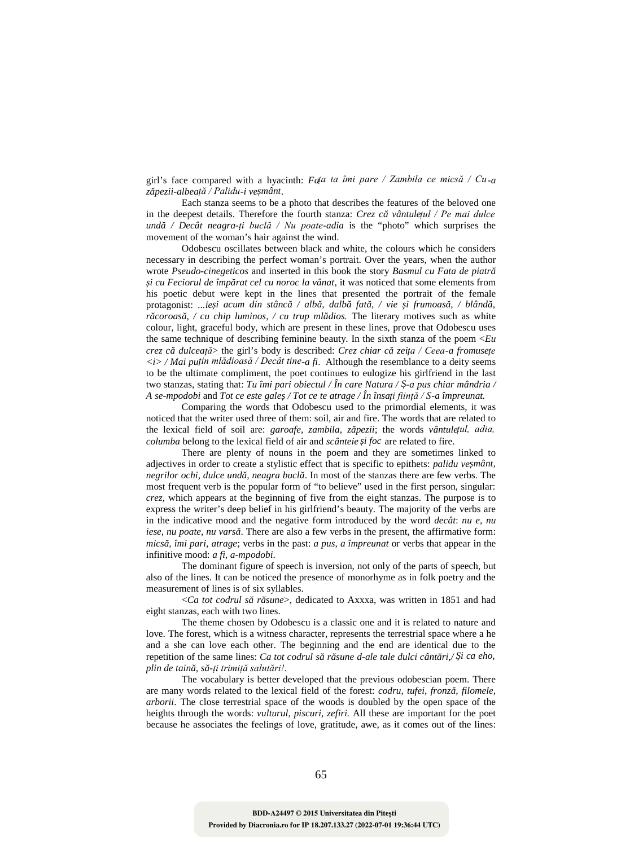girl's face compared with a hyacinth: *Fața ta îmi pare / Zambila ce micsă / Cu-a zăpezii-albeață / Palidu-i veșmânt*.

Each stanza seems to be a photo that describes the features of the beloved one in the deepest details. Therefore the fourth stanza: *Crez c vântulețul / Pe mai dulce undă / Decât neagra-ți buclă / Nu poate-adia* is the "photo" which surprises the movement of the woman's hair against the wind.

Odobescu oscillates between black and white, the colours which he considers necessary in describing the perfect woman's portrait. Over the years, when the author wrote *Pseudo-cinegeticos* and inserted in this book the story *Basmul cu Fata de piatră i* cu Feciorul de împ rat cel cu noroc la vânat, it was noticed that some elements from his poetic debut were kept in the lines that presented the portrait of the female protagonist: ...*ie i* acum din stânc / alb, dalb fat, / vie i frumoas, / blând, *r* coroas, / cu chip luminos, / cu trup ml dios. The literary motives such as white colour, light, graceful body, which are present in these lines, prove that Odobescu uses the same technique of describing feminine beauty. In the sixth stanza of the poem <*Eu crez că dulceață*> the girl's body is described: *Crez chiar că zeița / Ceea-a fromusețe <i> / Mai puțin mlădioasă / Decât tine-a fi*. Although the resemblance to a deity seems to be the ultimate compliment, the poet continues to eulogize his girlfriend in the last two stanzas, stating that: *Tu îmi pari obiectul / În care Natura / -a pus chiar mândria / A se-mpodobi* and *Tot ce este galeș / Tot ce te atrage / În însați ființă / S-a împreunat.*

Comparing the words that Odobescu used to the primordial elements, it was noticed that the writer used three of them: soil, air and fire. The words that are related to the lexical field of soil are: *garoafe*, *zambila*, *z pezii*; the words *vântulețul*, *adia*, *columba* belong to the lexical field of air and *scânteie și foc* are related to fire.

There are plenty of nouns in the poem and they are sometimes linked to adjectives in order to create a stylistic effect that is specific to epithets: *palidu ve mânt*, *negrilor ochi, dulce und, neagra bucl.* In most of the stanzas there are few verbs. The most frequent verb is the popular form of "to believe" used in the first person, singular: *crez*, which appears at the beginning of five from the eight stanzas. The purpose is to express the writer's deep belief in his girlfriend's beauty. The majority of the verbs are in the indicative mood and the negative form introduced by the word *decât*: *nu e, nu iese, nu poate, nu vars*. There are also a few verbs in the present, the affirmative form: *micsă, îmi pari, atrage*; verbs in the past: *a pus, a împreunat* or verbs that appear in the infinitive mood: *a fi, a-mpodobi*.

The dominant figure of speech is inversion, not only of the parts of speech, but also of the lines. It can be noticed the presence of monorhyme as in folk poetry and the measurement of lines is of six syllables.

<*Ca tot codrul s* r sune>, dedicated to Axxxa, was written in 1851 and had eight stanzas, each with two lines.

The theme chosen by Odobescu is a classic one and it is related to nature and love. The forest, which is a witness character, represents the terrestrial space where a he and a she can love each other. The beginning and the end are identical due to the repetition of the same lines: *Ca tot codrul s* r *sune d-ale tale dulci cânt ri,/ i ca eho, plin de taină, să-ți trimiță salutări!*.

The vocabulary is better developed that the previous odobescian poem. There are many words related to the lexical field of the forest: *codru, tufei, fronz, filomele, arborii*. The close terrestrial space of the woods is doubled by the open space of the heights through the words: *vulturul, piscuri, zefiri.* All these are important for the poet because he associates the feelings of love, gratitude, awe, as it comes out of the lines: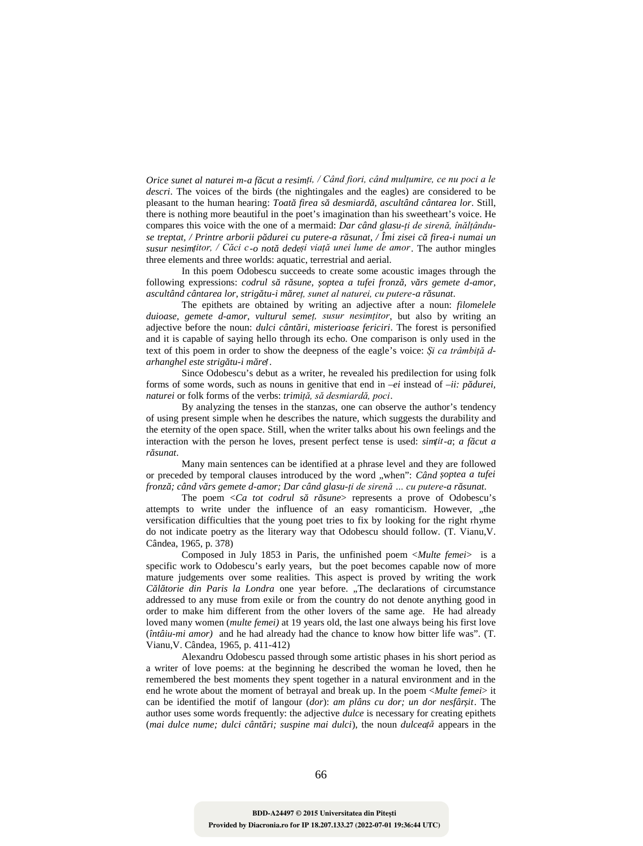*Orice sunet al naturei m-a f cut a resimți, / Când fiori, când mulțumire, ce nu poci a le descri*. The voices of the birds (the nightingales and the eagles) are considered to be pleasant to the human hearing: *Toat firea s desmiard*, ascultând cântarea lor. Still, there is nothing more beautiful in the poet's imagination than his sweetheart's voice. He compares this voice with the one of a mermaid: *Dar când glasu-ți de sirenă, înălțându se treptat, / Printre arborii pădurei cu putere-a răsunat, / Îmi zisei că firea-i numai un susur nesimțitor, / Căci c-o notă dedeși viață unei lume de amor*. The author mingles three elements and three worlds: aquatic, terrestrial and aerial.

In this poem Odobescu succeeds to create some acoustic images through the following expressions: *codrul s* r sune, optea a tufei fronz, v rs gemete d-amor, *ascultând cântarea lor, strigătu-i măreț, sunet al naturei, cu putere-a răsunat*.

The epithets are obtained by writing an adjective after a noun: *filomelele duioase, gemete d-amor, vulturul semeț, susur nesimțitor*, but also by writing an adjective before the noun: *dulci cânt ri, misterioase fericiri*. The forest is personified and it is capable of saying hello through its echo. One comparison is only used in the text of this poem in order to show the deepness of the eagle's voice: *Și ca trâmbiță d arhanghel este strigătu-i măreț*.

Since Odobescu's debut as a writer, he revealed his predilection for using folk forms of some words, such as nouns in genitive that end in  $-ei$  instead of  $-i\mathbf{i}: p \text{ } d\mathbf{u}$ *ei*, *naturei* or folk forms of the verbs: *trimiță, să desmiardă, poci*.

By analyzing the tenses in the stanzas, one can observe the author's tendency of using present simple when he describes the nature, which suggests the durability and the eternity of the open space. Still, when the writer talks about his own feelings and the interaction with the person he loves, present perfect tense is used: *simțit-a*; *a f cut a răsunat*.

Many main sentences can be identified at a phrase level and they are followed or preceded by temporal clauses introduced by the word "when": *Când optea a tufei fronză; când vărs gemete d-amor; Dar când glasu-ți de sirenă … cu putere-a răsunat*.

The poem  $\langle Ca \text{ tot } codrul \text{ s }$  r sune represents a prove of Odobescu's attempts to write under the influence of an easy romanticism. However, "the versification difficulties that the young poet tries to fix by looking for the right rhyme do not indicate poetry as the literary way that Odobescu should follow. (T. Vianu,V. Cândea, 1965, p. 378)

Composed in July 1853 in Paris, the unfinished poem <*Multe femei*> is a specific work to Odobescu's early years, but the poet becomes capable now of more mature judgements over some realities. This aspect is proved by writing the work *C l* torie din Paris la Londra one year before. "The declarations of circumstance addressed to any muse from exile or from the country do not denote anything good in order to make him different from the other lovers of the same age. He had already loved many women (*multe femei)* at 19 years old, the last one always being his first love (*întâiu-mi amor)* and he had already had the chance to know how bitter life was". (T. Vianu,V. Cândea, 1965, p. 411-412)

Alexandru Odobescu passed through some artistic phases in his short period as a writer of love poems: at the beginning he described the woman he loved, then he remembered the best moments they spent together in a natural environment and in the end he wrote about the moment of betrayal and break up. In the poem <*Multe femei*> it can be identified the motif of langour (*dor*): *am plâns cu dor; un dor nesfârșit*. The author uses some words frequently: the adjective *dulce* is necessary for creating epithets (*mai dulce nume; dulci cânt ri; suspine mai dulci*), the noun *dulcea* $\tilde{\mu}$  appears in the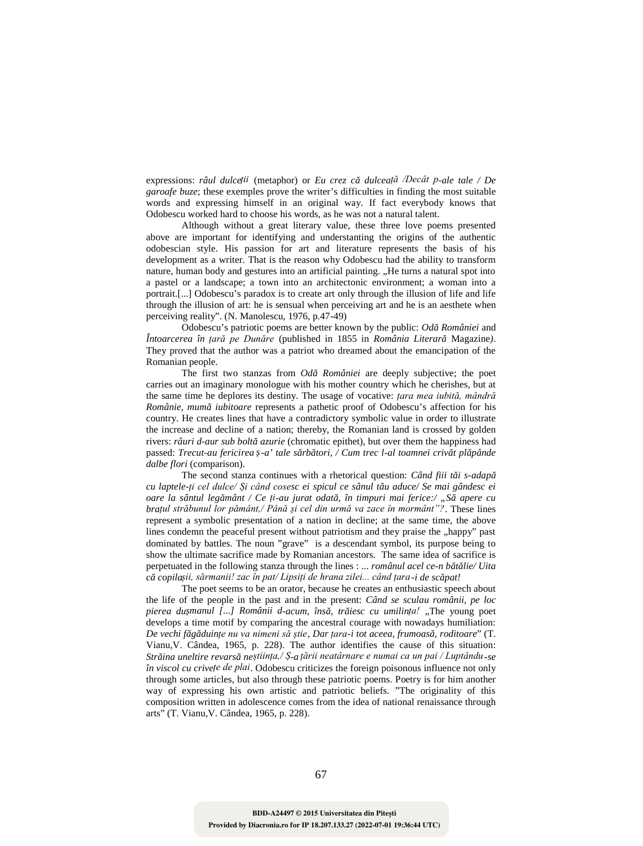expressions: *râul dulceții* (metaphor) or *Eu crez că dulceață /Decât p-ale tale / De garoafe buze*; these exemples prove the writer's difficulties in finding the most suitable words and expressing himself in an original way. If fact everybody knows that Odobescu worked hard to choose his words, as he was not a natural talent.

Although without a great literary value, these three love poems presented above are important for identifying and understanting the origins of the authentic odobescian style. His passion for art and literature represents the basis of his development as a writer. That is the reason why Odobescu had the ability to transform nature, human body and gestures into an artificial painting. "He turns a natural spot into a pastel or a landscape; a town into an architectonic environment; a woman into a portrait.[...] Odobescu's paradox is to create art only through the illusion of life and life through the illusion of art: he is sensual when perceiving art and he is an aesthete when perceiving reality". (N. Manolescu, 1976, p.47-49)

Odobescu's patriotic poems are better known by the public: *Od României* and *Întoarcerea în țară pe Dunăre* (published in 1855 in *România Literară* Magazine*)*. They proved that the author was a patriot who dreamed about the emancipation of the Romanian people.

The first two stanzas from *Od României* are deeply subjective; the poet carries out an imaginary monologue with his mother country which he cherishes, but at the same time he deplores its destiny. The usage of vocative: *țara mea iubită, mândră Românie, mumă iubitoare* represents a pathetic proof of Odobescu's affection for his country. He creates lines that have a contradictory symbolic value in order to illustrate the increase and decline of a nation; thereby, the Romanian land is crossed by golden rivers: *râuri d-aur sub bolt azurie* (chromatic epithet), but over them the happiness had passed: *Trecut-au fericirea -a' tale s rb tori, / Cum trec l-al toamnei criv t pl pânde dalbe flori* (comparison).

The second stanza continues with a rhetorical question: *Când fiii t i s-adap cu laptele-ți cel dulce/ Și când cosesc ei spicul ce sânul t u aduce/ Se mai gândesc ei oare la sântul leg mânt / Ce ți-au jurat odat, în timpuri mai ferice:/* "S apere cu *brațul străbunul lor pământ,/ Până și cel din urmă va zace în mormânt"?*. These lines represent a symbolic presentation of a nation in decline; at the same time, the above lines condemn the peaceful present without patriotism and they praise the "happy" past dominated by battles. The noun "grave" is a descendant symbol, its purpose being to show the ultimate sacrifice made by Romanian ancestors. The same idea of sacrifice is perpetuated in the following stanza through the lines : ... *românul acel ce-n b t lie/ Uita c* copilașii, sărmanii! zac în pat/ Lipsiți de hrana zilei... când țara-i de sc pat!

The poet seems to be an orator, because he creates an enthusiastic speech about the life of the people in the past and in the present: *Când se sculau românii, pe loc pierea du manul [...] Românii d-acum, îns, triesc cu umilința!* "The young poet develops a time motif by comparing the ancestral courage with nowadays humiliation: *De vechi făgăduințe nu va nimeni să știe*, *Dar țara-i tot aceea, frumoasă, roditoare*" (T. Vianu,V. Cândea, 1965, p. 228). The author identifies the cause of this situation: *Străina uneltire revarsă neștiința,/ Ș-a țării neatârnare e numai ca un pai / Luptându-se în viscol cu crivețe de plai*. Odobescu criticizes the foreign poisonous influence not only through some articles, but also through these patriotic poems. Poetry is for him another way of expressing his own artistic and patriotic beliefs. "The originality of this composition written in adolescence comes from the idea of national renaissance through arts" (T. Vianu,V. Cândea, 1965, p. 228).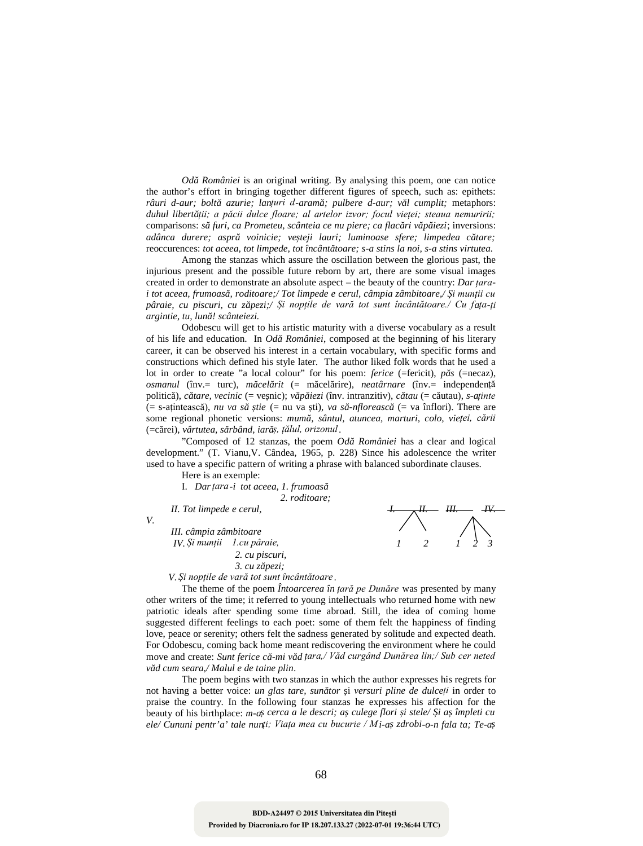*Od României* is an original writing. By analysing this poem, one can notice the author's effort in bringing together different figures of speech, such as: epithets: *râuri d-aur; bolt azurie; lanțuri d-aram; pulbere d-aur; v l cumplit;* metaphors: duhul libert ții; a păcii dulce floare; al artelor izvor; focul vieței; steaua nemuririi; comparisons: *s* furi, ca Prometeu, scânteia ce nu piere; ca flac ri v p iezi; inversions: *adânca durere; aspr* voinicie; ve teji lauri; luminoase sfere; limpedea c tare; reoccurences: *tot aceea, tot limpede, tot încânt toare: s-a stins la noi, s-a stins virtutea.* 

Among the stanzas which assure the oscillation between the glorious past, the injurious present and the possible future reborn by art, there are some visual images created in order to demonstrate an absolute aspect – the beauty of the country: *Dar țarai tot aceea, frumoasă, roditoare;/ Tot limpede e cerul, câmpia zâmbitoare,/ Și munții cu pâraie, cu piscuri, cu zăpezi;/ Și nopțile de vară tot sunt încântătoare./ Cu fața-ți argintie, tu, lună! scânteiezi.*

Odobescu will get to his artistic maturity with a diverse vocabulary as a result of his life and education. In *Od României*, composed at the beginning of his literary career, it can be observed his interest in a certain vocabulary, with specific forms and constructions which defined his style later. The author liked folk words that he used a lot in order to create "a local colour" for his poem: *ferice* (=fericit), *p s* (=necaz), *osmanul* (înv.= turc), *m cel rit* (= m cel rire), *neatârnare* (înv.= independență politic), *c* tare, vecinic (= ve nic); *v p* iezi (înv. intranzitiv), *c* tau (= c utau), *s-aținte*  $(= s$ -ațintească), *nu va s iie* (= nu va *ti*), *va s* -*nfloreasc* (= va înflori). There are some regional phonetic versions: mum , sântul, atuncea, marturi, colo, vieței, cării (=c rei), vârtutea, s rbând, iar ș, țălul, orizonul.

"Composed of 12 stanzas, the poem *Od României* has a clear and logical development." (T. Vianu,V. Cândea, 1965, p. 228) Since his adolescence the writer used to have a specific pattern of writing a phrase with balanced subordinate clauses.

Here is an exemple:

I. *Dar*<sub>*țara*<sup>-</sup>*i* tot aceea, 1. frumoas</sub> *2. roditoare;*

*II. Tot limpede e cerul, I. II. III. IV.*

*V.*

*III. câmpia zâmbitoare IV. Și munții 1.cu pâraie, 1 2 1 2 3 2. cu piscuri, 3. cu z pezi;* 

*V. Și nopțile de vară tot sunt încântătoare* .

The theme of the poem *Întoarcerea în țară pe Dunăre* was presented by many other writers of the time; it referred to young intellectuals who returned home with new patriotic ideals after spending some time abroad. Still, the idea of coming home suggested different feelings to each poet: some of them felt the happiness of finding love, peace or serenity; others felt the sadness generated by solitude and expected death. For Odobescu, coming back home meant rediscovering the environment where he could move and create: Sunt ferice c -*mi v d* țara,/ Văd curgând Dunărea lin;/ Sub cer neted *văd cum seara,/ Malul e de taine plin*.

The poem begins with two stanzas in which the author expresses his regrets for not having a better voice: *un glas tare, sunător* și *versuri pline de dulceți* in order to praise the country. In the following four stanzas he expresses his affection for the beauty of his birthplace: *m-a* cerca a le descri; a culege flori *i* stele/ *i a împleti cu ele/ Cununi pentr'a' tale nunți; Viața mea cu bucurie / Mi-aș zdrobi-o-n fala ta; Te-a*